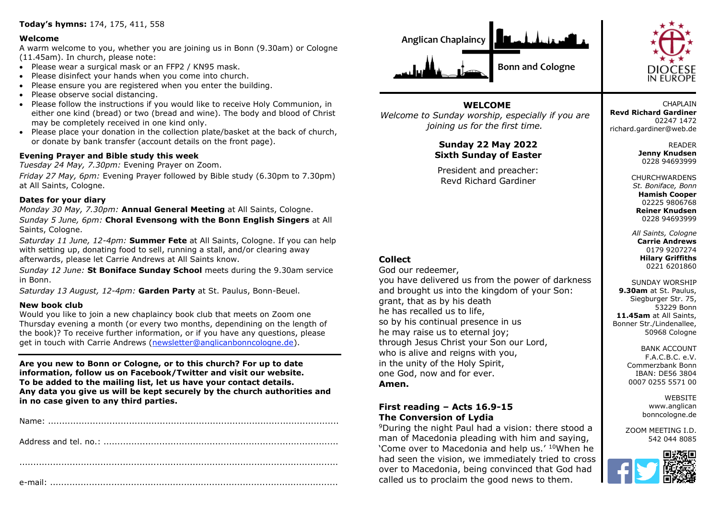## **Today's hymns:** 174, 175, 411, 558

#### **Welcome**

A warm welcome to you, whether you are joining us in Bonn (9.30am) or Cologne (11.45am). In church, please note:

- Please wear a surgical mask or an FFP2 / KN95 mask.
- Please disinfect your hands when you come into church.
- Please ensure you are registered when you enter the building.
- Please observe social distancing.
- Please follow the instructions if you would like to receive Holy Communion, in either one kind (bread) or two (bread and wine). The body and blood of Christ may be completely received in one kind only.
- Please place your donation in the collection plate/basket at the back of church, or donate by bank transfer (account details on the front page).

### **Evening Prayer and Bible study this week**

*Tuesday 24 May, 7.30pm:* Evening Prayer on Zoom.

*Friday 27 May, 6pm:* Evening Prayer followed by Bible study (6.30pm to 7.30pm) at All Saints, Cologne.

### **Dates for your diary**

*Monday 30 May, 7.30pm:* **Annual General Meeting** at All Saints, Cologne.

*Sunday 5 June, 6pm:* **Choral Evensong with the Bonn English Singers** at All Saints, Cologne.

*Saturday 11 June, 12-4pm:* **Summer Fete** at All Saints, Cologne. If you can help with setting up, donating food to sell, running a stall, and/or clearing away afterwards, please let Carrie Andrews at All Saints know.

*Sunday 12 June:* **St Boniface Sunday School** meets during the 9.30am service in Bonn.

*Saturday 13 August, 12-4pm:* **Garden Party** at St. Paulus, Bonn-Beuel.

#### **New book club**

Would you like to join a new chaplaincy book club that meets on Zoom one Thursday evening a month (or every two months, dependining on the length of the book)? To receive further information, or if you have any questions, please get in touch with Carrie Andrews [\(newsletter@anglicanbonncologne.de\)](mailto:newsletter@anglicanbonncologne.de).

**Are you new to Bonn or Cologne, or to this church? For up to date information, follow us on Facebook/Twitter and visit our website. To be added to the mailing list, let us have your contact details. Any data you give us will be kept securely by the church authorities and in no case given to any third parties.**





**WELCOME** *Welcome to Sunday worship, especially if you are joining us for the first time.*

# **Sunday 22 May 2022 Sixth Sunday of Easter**

President and preacher: Revd Richard Gardiner

# **Collect**

God our redeemer, you have delivered us from the power of darkness and brought us into the kingdom of your Son: grant, that as by his death he has recalled us to life, so by his continual presence in us he may raise us to eternal joy; through Jesus Christ your Son our Lord, who is alive and reigns with you, in the unity of the Holy Spirit, one God, now and for ever. **Amen.**

# **First reading – Acts 16.9-15 The Conversion of Lydia**

<sup>9</sup>During the night Paul had a vision: there stood a man of Macedonia pleading with him and saying, 'Come over to Macedonia and help us.' <sup>10</sup>When he had seen the vision, we immediately tried to cross over to Macedonia, being convinced that God had called us to proclaim the good news to them.

**CHAPLAIN Revd Richard Gardiner** 02247 1472 richard.gardiner@web.de

> READER **Jenny Knudsen** 0228 94693999

**CHURCHWARDENS** *St. Boniface, Bonn* **Hamish Cooper** 02225 9806768 **Reiner Knudsen** 0228 94693999

*All Saints, Cologne* **Carrie Andrews** 0179 9207274 **Hilary Griffiths** 0221 6201860

SUNDAY WORSHIP **9.30am** at St. Paulus, Siegburger Str. 75, 53229 Bonn **11.45am** at All Saints, Bonner Str./Lindenallee, 50968 Cologne

> BANK ACCOUNT F.A.C.B.C. e.V. Commerzbank Bonn IBAN: DE56 3804 0007 0255 5571 00

> > **WEBSITE** www.anglican bonncologne.de

ZOOM MEETING I.D. 542 044 8085